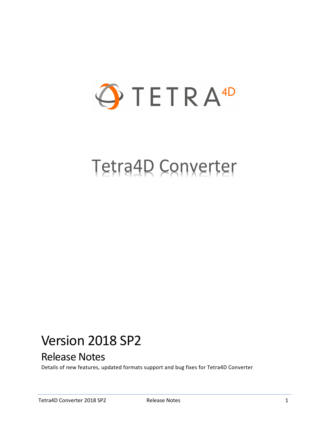

# Tetra4D Converter

## Version 2018 SP2

## Release Notes

Details of new features, updated formats support and bug fixes for Tetra4D Converter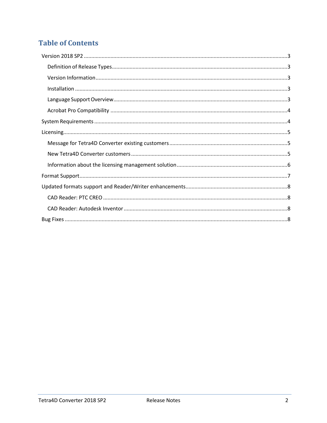## **Table of Contents**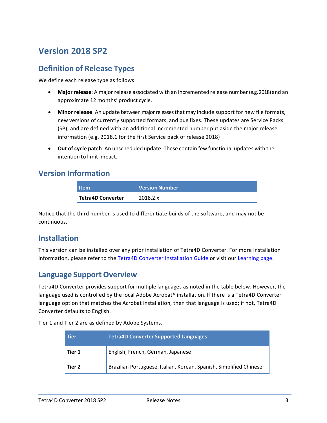## <span id="page-2-0"></span>**Version 2018 SP2**

### <span id="page-2-1"></span>**Definition of Release Types**

We define each release type as follows:

- **Major release**: A major release associated with an incremented release number (e.g. 2018) and an approximate 12 months' product cycle.
- **Minor release**: An update betweenmajorreleasesthat may include support for new file formats, new versions of currently supported formats, and bug fixes. These updates are Service Packs (SP), and are defined with an additional incremented number put aside the major release information (e.g. 2018.1 for the first Service pack of release 2018)
- **Out of cycle patch**: An unscheduled update. These contain few functional updates with the intention to limit impact.

#### <span id="page-2-2"></span>**Version Information**

| <b>Item</b>       | <b>Version Number</b> |
|-------------------|-----------------------|
| Tetra4D Converter | 2018.2.x              |

Notice that the third number is used to differentiate builds of the software, and may not be continuous.

#### <span id="page-2-3"></span>**Installation**

This version can be installed over any prior installation of Tetra4D Converter. For more installation information, please refer to the [Tetra4D Converter Installation Guide](http://www.tetra4d.com/documentation/) or visit our [Learning](http://tetra4d.com/learning/) page.

#### <span id="page-2-4"></span>**Language Support Overview**

Tetra4D Converter provides support for multiple languages as noted in the table below. However, the language used is controlled by the local Adobe Acrobat® installation. If there is a Tetra4D Converter language option that matches the Acrobat installation, then that language is used; if not, Tetra4D Converter defaults to English.

Tier 1 and Tier 2 are as defined by Adobe Systems.

| <b>Tier</b> | <b>Tetra4D Converter Supported Languages</b>                       |  |
|-------------|--------------------------------------------------------------------|--|
| Tier 1      | English, French, German, Japanese                                  |  |
| Tier 2      | Brazilian Portuguese, Italian, Korean, Spanish, Simplified Chinese |  |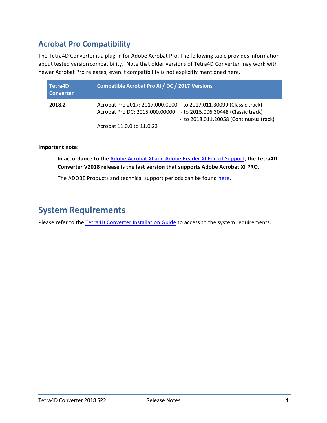## <span id="page-3-0"></span>**Acrobat Pro Compatibility**

The Tetra4D Converter is a plug-in for Adobe Acrobat Pro. The following table provides information about tested version compatibility. Note that older versions of Tetra4D Converter may work with newer Acrobat Pro releases, even if compatibility is not explicitly mentioned here.

| Tetra4D<br><b>Converter</b> | <b>Compatible Acrobat Pro XI / DC / 2017 Versions</b>                                                                                                                                                            |
|-----------------------------|------------------------------------------------------------------------------------------------------------------------------------------------------------------------------------------------------------------|
| 2018.2                      | Acrobat Pro 2017: 2017.000.0000 - to 2017.011.30099 (Classic track)<br>Acrobat Pro DC: 2015.000.00000 - to 2015.006.30448 (Classic track)<br>- to 2018.011.20058 (Continuous track)<br>Acrobat 11.0.0 to 11.0.23 |

#### **Important note:**

**In accordance to the** [Adobe Acrobat XI and Adobe Reader XI End of Support](https://theblog.adobe.com/adobe-acrobat-xi-and-adobe-reader-xi-end-of-support/)**, the Tetra4D Converter V2018 release is the last version that supports Adobe Acrobat XI PRO.**

The ADOBE Products and technical support periods can be found [here.](https://helpx.adobe.com/support/programs/eol-matrix.html)

## <span id="page-3-1"></span>**System Requirements**

Please refer to the [Tetra4D Converter Installation Guide](http://www.tetra4d.com/documentation/) to access to the system requirements.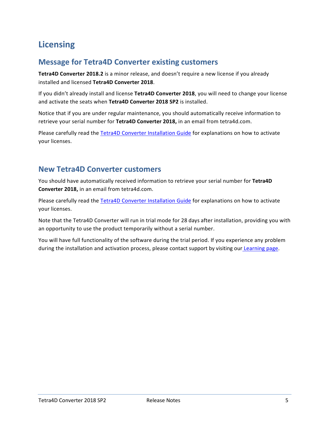## <span id="page-4-0"></span>**Licensing**

## <span id="page-4-1"></span>**Message for Tetra4D Converter existing customers**

**Tetra4D Converter 2018.2** is a minor release, and doesn't require a new license if you already installed and licensed **Tetra4D Converter 2018**.

If you didn't already install and license **Tetra4D Converter 2018**, you will need to change your license and activate the seats when **Tetra4D Converter 2018 SP2** is installed.

Notice that if you are under regular maintenance, you should automatically receive information to retrieve your serial number for **Tetra4D Converter 2018,** in an email from tetra4d.com.

Please carefully read the [Tetra4D Converter Installation Guide](http://www.tetra4d.com/documentation/) for explanations on how to activate your licenses.

#### <span id="page-4-2"></span>**New Tetra4D Converter customers**

You should have automatically received information to retrieve your serial number for **Tetra4D Converter 2018,** in an email from tetra4d.com.

Please carefully read the [Tetra4D Converter Installation Guide](http://www.tetra4d.com/documentation/) for explanations on how to activate your licenses.

Note that the Tetra4D Converter will run in trial mode for 28 days after installation, providing you with an opportunity to use the product temporarily without a serial number.

You will have full functionality of the software during the trial period. If you experience any problem during the installation and activation process, please contact support by visiting our [Learning page.](http://tetra4d.com/learning/)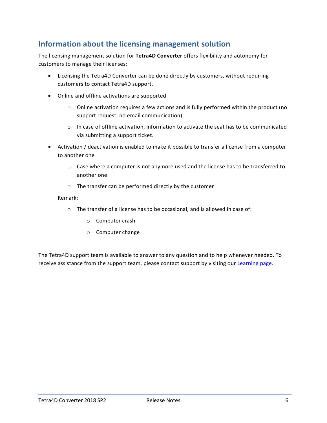## <span id="page-5-0"></span>**Information about the licensing management solution**

The licensing management solution for **Tetra4D Converter** offers flexibility and autonomy for customers to manage their licenses:

- Licensing the Tetra4D Converter can be done directly by customers, without requiring customers to contact Tetra4D support.
- Online and offline activations are supported
	- $\circ$  Online activation requires a few actions and is fully performed within the product (no support request, no email communication)
	- $\circ$  In case of offline activation, information to activate the seat has to be communicated via submitting a support ticket.
- Activation / deactivation is enabled to make it possible to transfer a license from a computer to another one
	- $\circ$  Case where a computer is not anymore used and the license has to be transferred to another one
	- o The transfer can be performed directly by the customer

#### Remark:

- o The transfer of a license has to be occasional, and is allowed in case of:
	- o Computer crash
	- o Computer change

The Tetra4D support team is available to answer to any question and to help whenever needed. To receive assistance from the support team, please contact support by visiting our [Learning page.](http://tetra4d.com/learning/)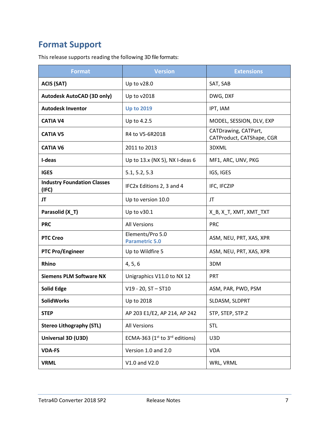## <span id="page-6-0"></span>**Format Support**

This release supports reading the following 3D file formats:

| <b>Format</b>                               | <b>Version</b>                            | <b>Extensions</b>                                 |
|---------------------------------------------|-------------------------------------------|---------------------------------------------------|
| <b>ACIS (SAT)</b>                           | Up to v28.0                               | SAT, SAB                                          |
| <b>Autodesk AutoCAD (3D only)</b>           | Up to v2018                               | DWG, DXF                                          |
| <b>Autodesk Inventor</b>                    | <b>Up to 2019</b>                         | IPT, IAM                                          |
| <b>CATIA V4</b>                             | Up to 4.2.5                               | MODEL, SESSION, DLV, EXP                          |
| <b>CATIA V5</b>                             | R4 to V5-6R2018                           | CATDrawing, CATPart,<br>CATProduct, CATShape, CGR |
| <b>CATIA V6</b>                             | 2011 to 2013                              | 3DXML                                             |
| I-deas                                      | Up to 13.x (NX 5), NX I-deas 6            | MF1, ARC, UNV, PKG                                |
| <b>IGES</b>                                 | 5.1, 5.2, 5.3                             | IGS, IGES                                         |
| <b>Industry Foundation Classes</b><br>(IFC) | IFC2x Editions 2, 3 and 4                 | IFC, IFCZIP                                       |
| JT                                          | Up to version 10.0                        | JT                                                |
| Parasolid (X_T)                             | Up to v30.1                               | X_B, X_T, XMT, XMT_TXT                            |
| <b>PRC</b>                                  | <b>All Versions</b>                       | <b>PRC</b>                                        |
| <b>PTC Creo</b>                             | Elements/Pro 5.0<br><b>Parametric 5.0</b> | ASM, NEU, PRT, XAS, XPR                           |
| <b>PTC Pro/Engineer</b>                     | Up to Wildfire 5                          | ASM, NEU, PRT, XAS, XPR                           |
| Rhino                                       | 4, 5, 6                                   | 3DM                                               |
| <b>Siemens PLM Software NX</b>              | Unigraphics V11.0 to NX 12                | <b>PRT</b>                                        |
| <b>Solid Edge</b>                           | $V19 - 20$ , ST $-$ ST10                  | ASM, PAR, PWD, PSM                                |
| <b>SolidWorks</b>                           | Up to 2018                                | SLDASM, SLDPRT                                    |
| <b>STEP</b>                                 | AP 203 E1/E2, AP 214, AP 242              | STP, STEP, STP.Z                                  |
| <b>Stereo Lithography (STL)</b>             | <b>All Versions</b>                       | <b>STL</b>                                        |
| Universal 3D (U3D)                          | ECMA-363 ( $1st$ to $3rd$ editions)       | U3D                                               |
| <b>VDA-FS</b>                               | Version 1.0 and 2.0                       | <b>VDA</b>                                        |
| <b>VRML</b>                                 | V1.0 and V2.0                             | WRL, VRML                                         |